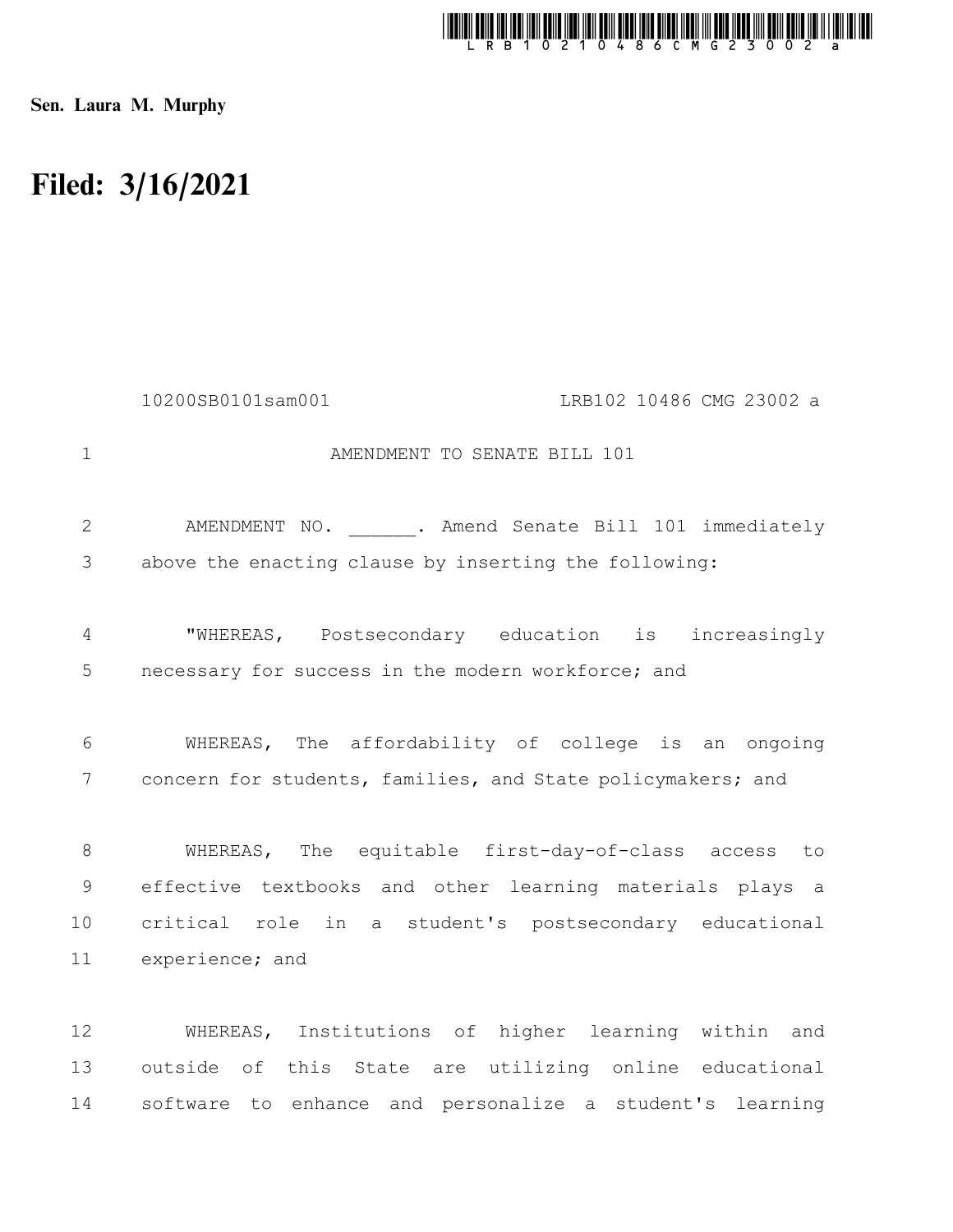

Sen. Laura M. Murphy

## Filed: 3/16/2021

|                | 10200SB0101sam001<br>LRB102 10486 CMG 23002 a               |
|----------------|-------------------------------------------------------------|
| $\mathbf{1}$   | AMENDMENT TO SENATE BILL 101                                |
| $\mathbf{2}$   | AMENDMENT NO. ______. Amend Senate Bill 101 immediately     |
| 3              | above the enacting clause by inserting the following:       |
| 4              | "WHEREAS, Postsecondary education is increasingly           |
| 5              | necessary for success in the modern workforce; and          |
| 6              | WHEREAS, The affordability of college is an ongoing         |
| 7              | concern for students, families, and State policymakers; and |
| 8              | WHEREAS, The equitable first-day-of-class access to         |
| $\overline{9}$ | effective textbooks and other learning materials plays a    |
| 10             | critical role in a student's postsecondary educational      |
| 11             | experience; and                                             |
| 12             | WHEREAS, Institutions of higher learning within and         |
| 13             | outside of this State are utilizing online educational      |
| 14             | software to enhance and personalize a student's learning    |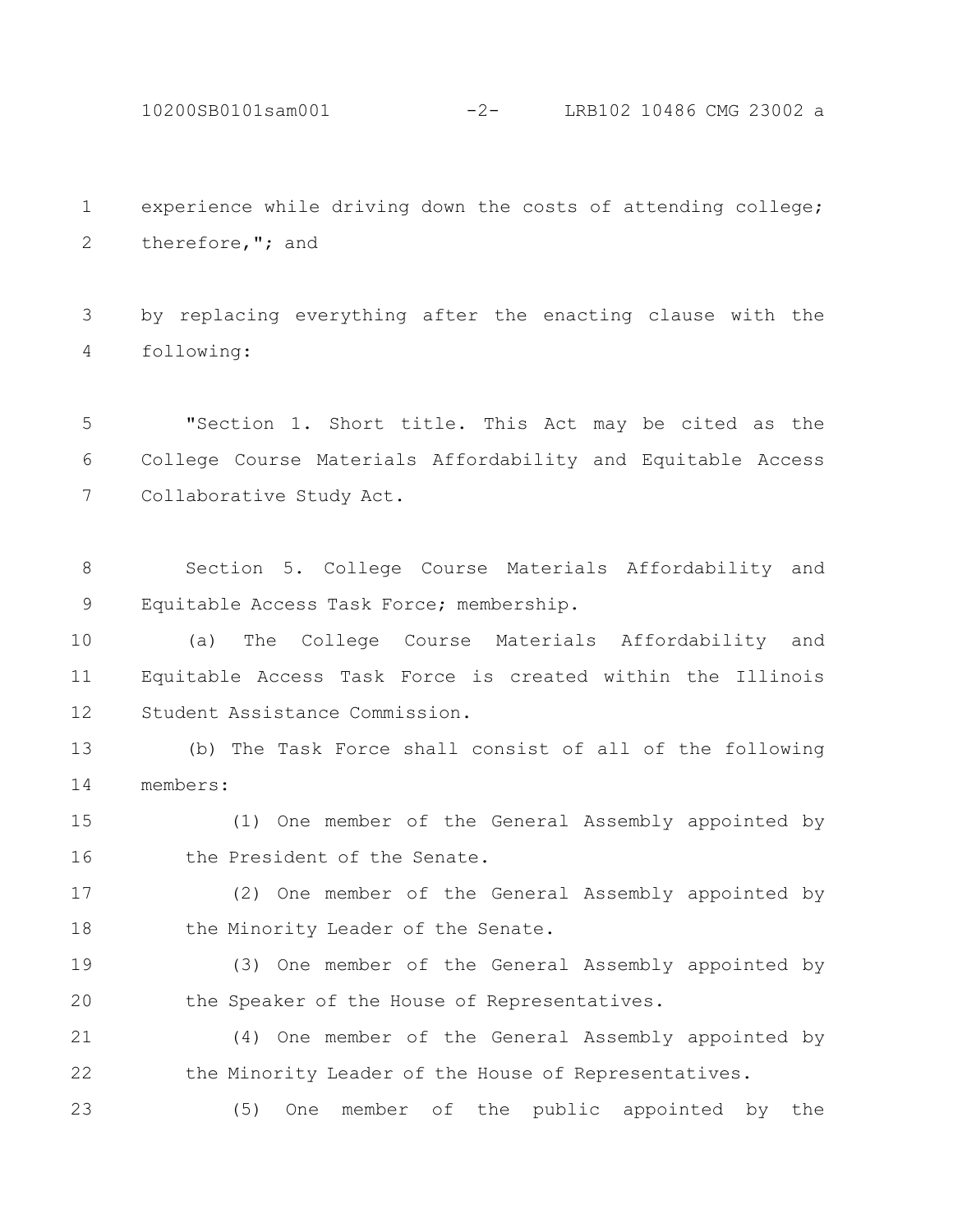10200SB0101sam001 -2- LRB102 10486 CMG 23002 a

experience while driving down the costs of attending college; therefore,"; and 1 2

by replacing everything after the enacting clause with the following: 3 4

"Section 1. Short title. This Act may be cited as the College Course Materials Affordability and Equitable Access Collaborative Study Act. 5 6 7

Section 5. College Course Materials Affordability and Equitable Access Task Force; membership. 8 9

(a) The College Course Materials Affordability and Equitable Access Task Force is created within the Illinois Student Assistance Commission. 10 11 12

(b) The Task Force shall consist of all of the following members: 13 14

(1) One member of the General Assembly appointed by the President of the Senate. 15 16

(2) One member of the General Assembly appointed by the Minority Leader of the Senate. 17 18

(3) One member of the General Assembly appointed by the Speaker of the House of Representatives. 19 20

(4) One member of the General Assembly appointed by the Minority Leader of the House of Representatives. 21 22

(5) One member of the public appointed by the 23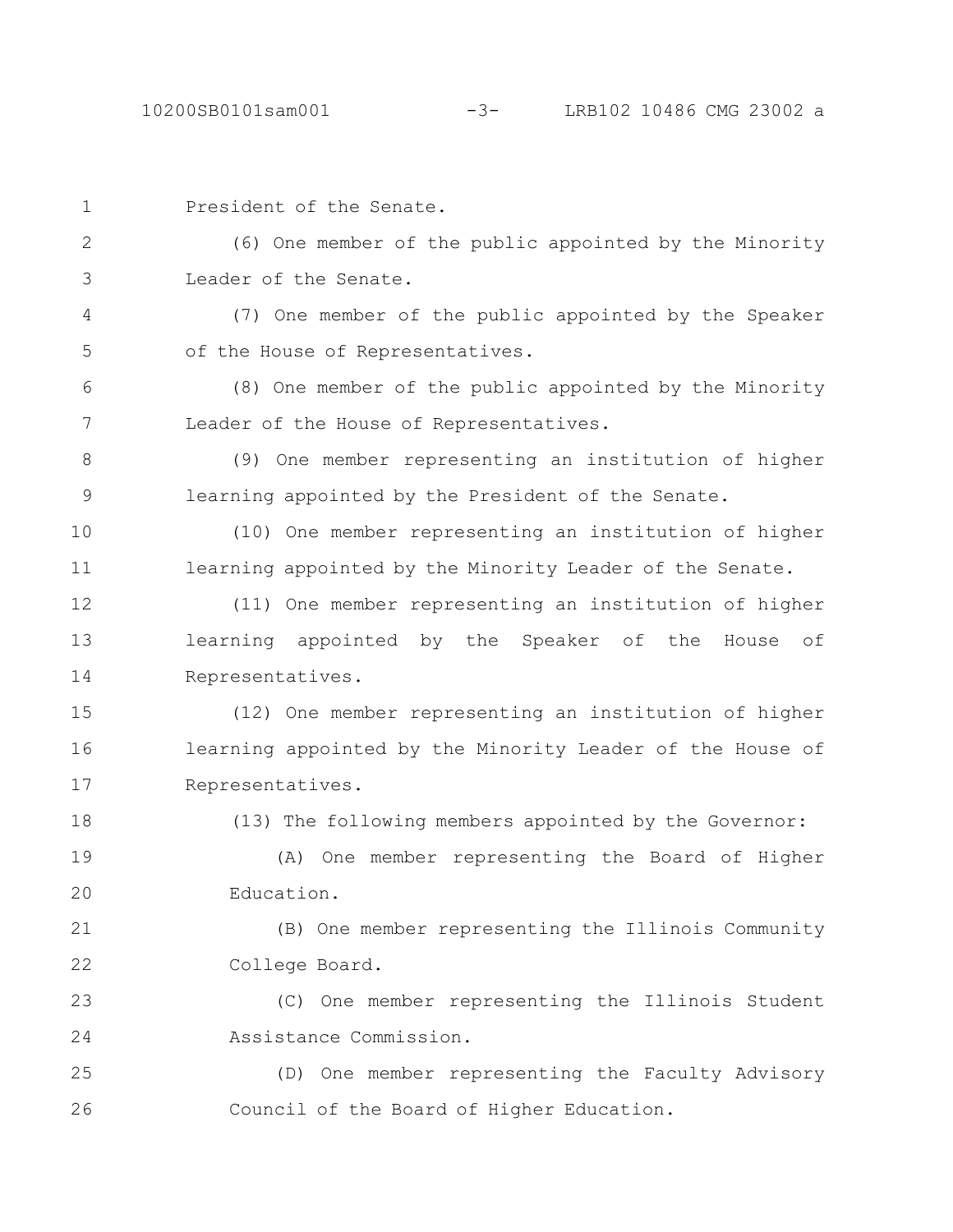| $\mathbf 1$  | President of the Senate.                                  |
|--------------|-----------------------------------------------------------|
| $\mathbf{2}$ | (6) One member of the public appointed by the Minority    |
| 3            | Leader of the Senate.                                     |
| 4            | (7) One member of the public appointed by the Speaker     |
| 5            | of the House of Representatives.                          |
| 6            | (8) One member of the public appointed by the Minority    |
| 7            | Leader of the House of Representatives.                   |
| 8            | (9) One member representing an institution of higher      |
| $\mathsf 9$  | learning appointed by the President of the Senate.        |
| 10           | (10) One member representing an institution of higher     |
| 11           | learning appointed by the Minority Leader of the Senate.  |
| 12           | (11) One member representing an institution of higher     |
| 13           | learning appointed by the Speaker of the<br>of<br>House   |
| 14           | Representatives.                                          |
| 15           | (12) One member representing an institution of higher     |
| 16           | learning appointed by the Minority Leader of the House of |
| 17           | Representatives.                                          |
| 18           | (13) The following members appointed by the Governor:     |
| 19           | One member representing the Board of Higher<br>(A)        |
| 20           | Education.                                                |
| 21           | (B) One member representing the Illinois Community        |
| 22           | College Board.                                            |
| 23           | (C) One member representing the Illinois Student          |
| 24           | Assistance Commission.                                    |
| 25           | (D) One member representing the Faculty Advisory          |
| 26           | Council of the Board of Higher Education.                 |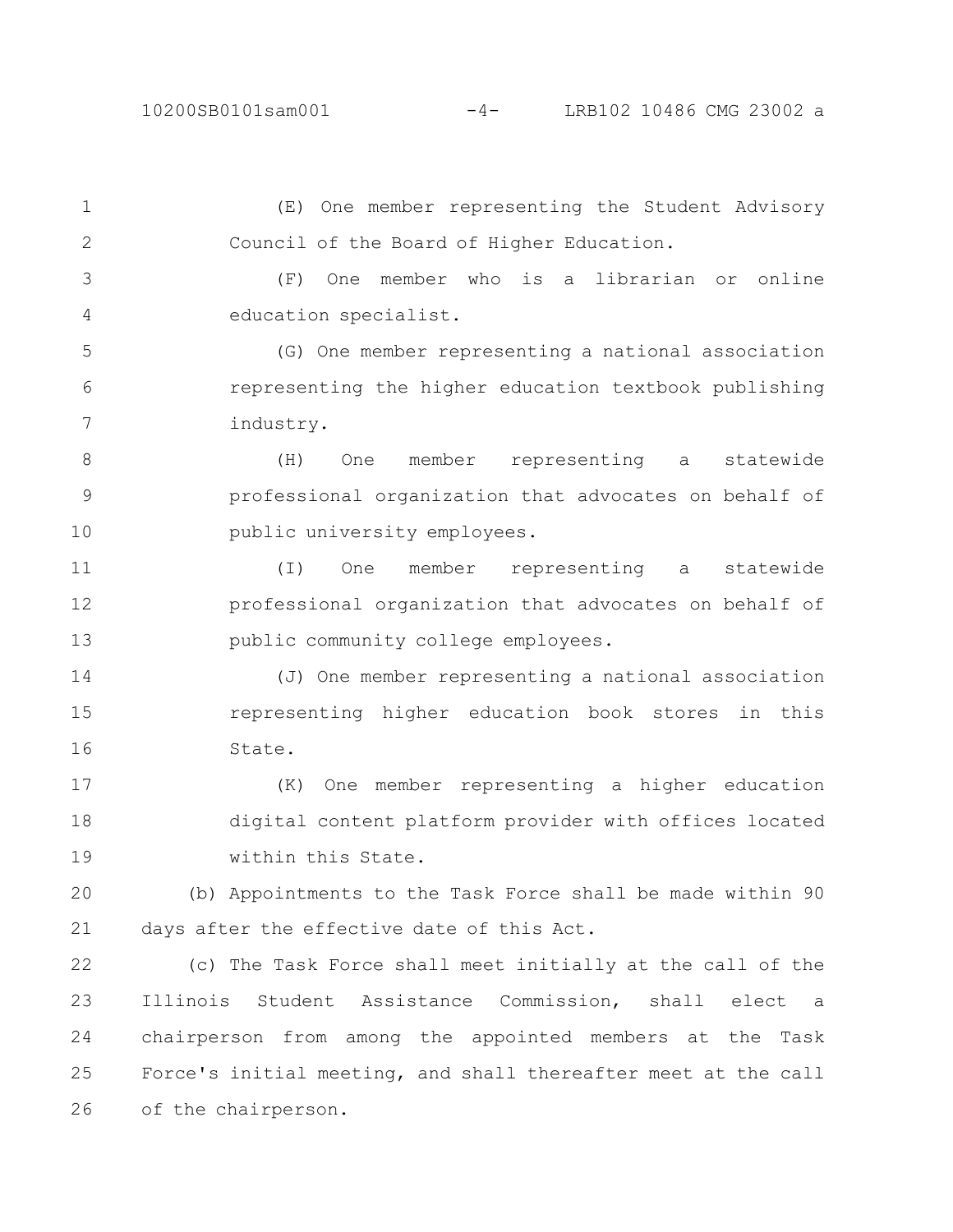(E) One member representing the Student Advisory Council of the Board of Higher Education. (F) One member who is a librarian or online education specialist. (G) One member representing a national association representing the higher education textbook publishing industry. (H) One member representing a statewide professional organization that advocates on behalf of public university employees. (I) One member representing a statewide professional organization that advocates on behalf of public community college employees. (J) One member representing a national association representing higher education book stores in this State. (K) One member representing a higher education digital content platform provider with offices located within this State. (b) Appointments to the Task Force shall be made within 90 days after the effective date of this Act. (c) The Task Force shall meet initially at the call of the Illinois Student Assistance Commission, shall elect a chairperson from among the appointed members at the Task Force's initial meeting, and shall thereafter meet at the call 1 2 3 4 5 6 7 8 9 10 11 12 13 14 15 16 17 18 19 20 21 22 23 24 25

of the chairperson. 26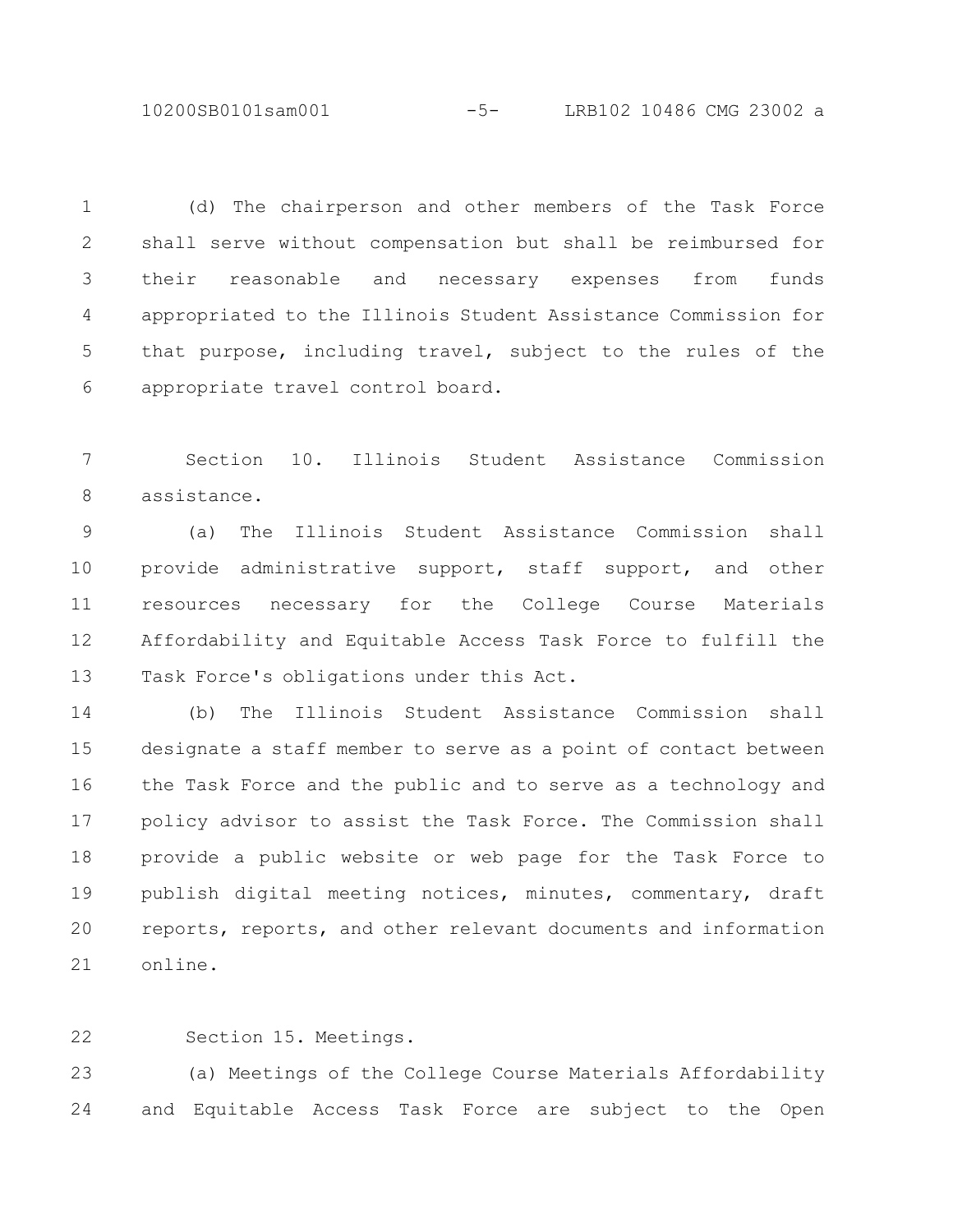10200SB0101sam001 -5- LRB102 10486 CMG 23002 a

(d) The chairperson and other members of the Task Force shall serve without compensation but shall be reimbursed for their reasonable and necessary expenses from funds appropriated to the Illinois Student Assistance Commission for that purpose, including travel, subject to the rules of the appropriate travel control board. 1 2 3 4 5 6

Section 10. Illinois Student Assistance Commission assistance. 7 8

(a) The Illinois Student Assistance Commission shall provide administrative support, staff support, and other resources necessary for the College Course Materials Affordability and Equitable Access Task Force to fulfill the Task Force's obligations under this Act. 9 10 11 12 13

(b) The Illinois Student Assistance Commission shall designate a staff member to serve as a point of contact between the Task Force and the public and to serve as a technology and policy advisor to assist the Task Force. The Commission shall provide a public website or web page for the Task Force to publish digital meeting notices, minutes, commentary, draft reports, reports, and other relevant documents and information online. 14 15 16 17 18 19 20 21

Section 15. Meetings. 22

(a) Meetings of the College Course Materials Affordability and Equitable Access Task Force are subject to the Open 23 24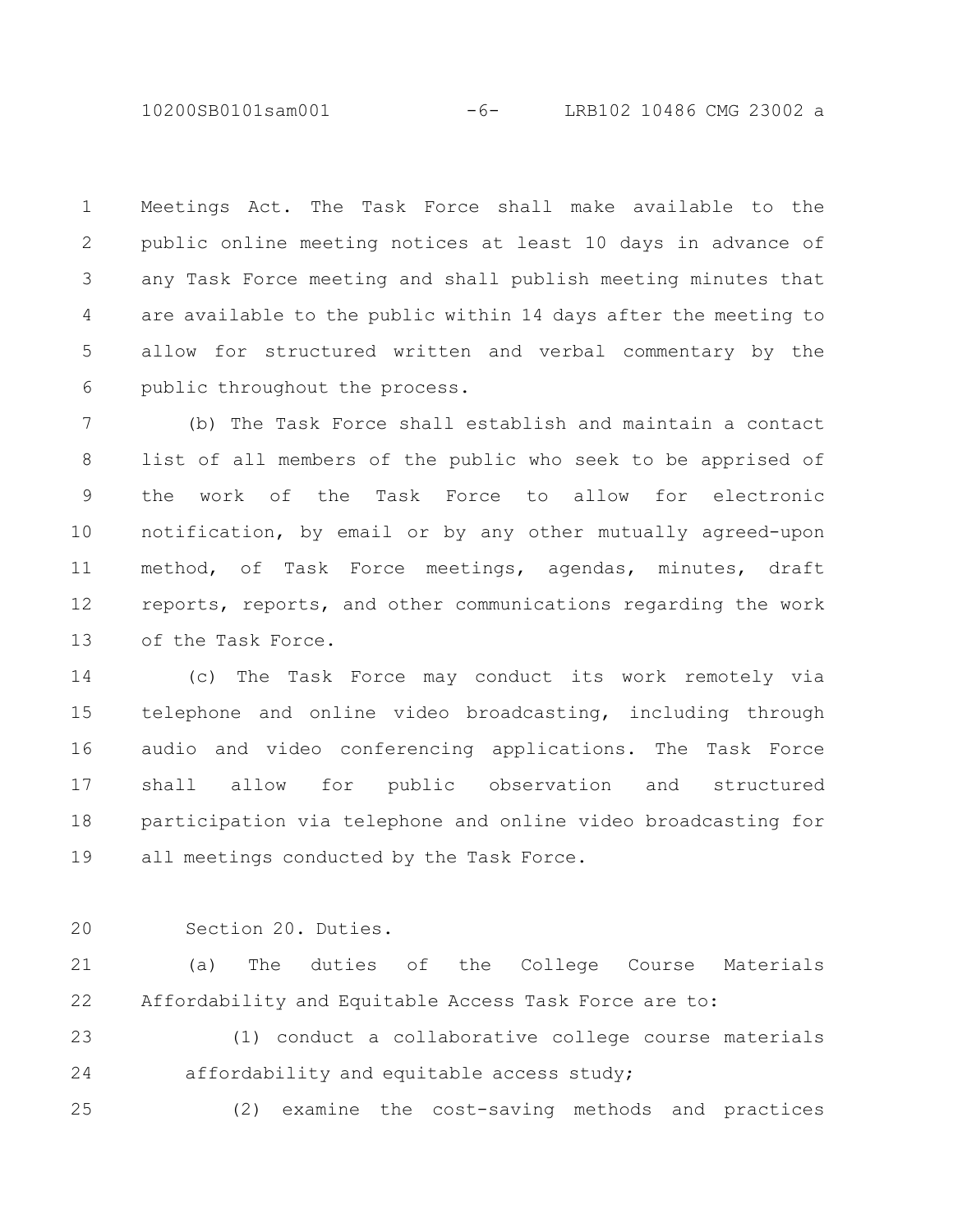10200SB0101sam001 -6- LRB102 10486 CMG 23002 a

Meetings Act. The Task Force shall make available to the public online meeting notices at least 10 days in advance of any Task Force meeting and shall publish meeting minutes that are available to the public within 14 days after the meeting to allow for structured written and verbal commentary by the public throughout the process. 1 2 3 4 5 6

(b) The Task Force shall establish and maintain a contact list of all members of the public who seek to be apprised of the work of the Task Force to allow for electronic notification, by email or by any other mutually agreed-upon method, of Task Force meetings, agendas, minutes, draft reports, reports, and other communications regarding the work of the Task Force. 7 8 9 10 11 12 13

(c) The Task Force may conduct its work remotely via telephone and online video broadcasting, including through audio and video conferencing applications. The Task Force shall allow for public observation and structured participation via telephone and online video broadcasting for all meetings conducted by the Task Force. 14 15 16 17 18 19

 $20$ 

Section 20. Duties.

(a) The duties of the College Course Materials Affordability and Equitable Access Task Force are to: 21 22

(1) conduct a collaborative college course materials affordability and equitable access study; 23 24

(2) examine the cost-saving methods and practices 25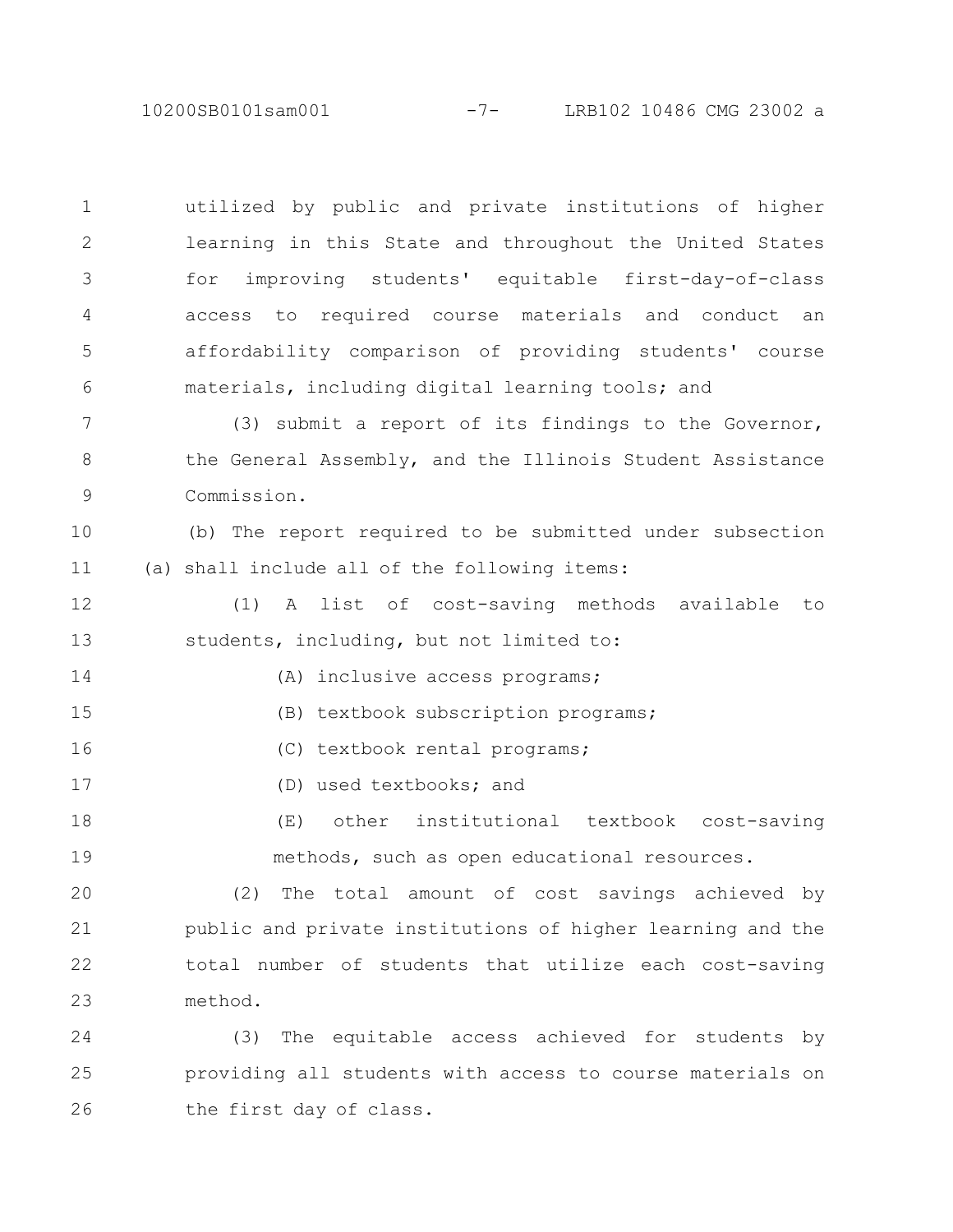10200SB0101sam001 -7- LRB102 10486 CMG 23002 a

utilized by public and private institutions of higher learning in this State and throughout the United States for improving students' equitable first-day-of-class access to required course materials and conduct an affordability comparison of providing students' course materials, including digital learning tools; and 1 2 3 4 5 6

(3) submit a report of its findings to the Governor, the General Assembly, and the Illinois Student Assistance Commission. 7 8 9

(b) The report required to be submitted under subsection (a) shall include all of the following items: 10 11

(1) A list of cost-saving methods available to students, including, but not limited to: 12 13

(A) inclusive access programs;

(B) textbook subscription programs; 15

(C) textbook rental programs; 16

(D) used textbooks; and

14

17

(E) other institutional textbook cost-saving methods, such as open educational resources. 18 19

(2) The total amount of cost savings achieved by public and private institutions of higher learning and the total number of students that utilize each cost-saving method. 20 21 22 23

(3) The equitable access achieved for students by providing all students with access to course materials on the first day of class. 24 25 26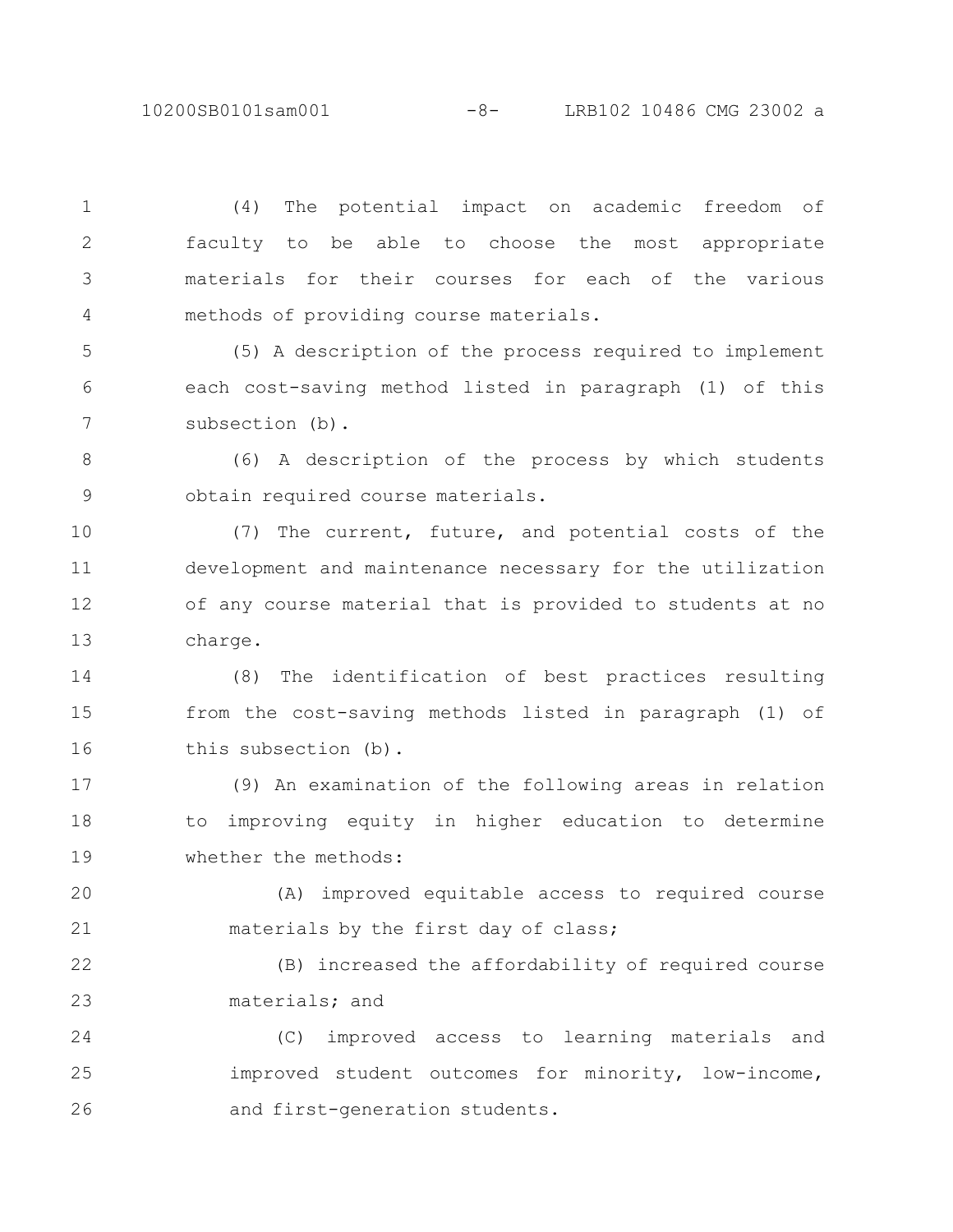10200SB0101sam001 -8- LRB102 10486 CMG 23002 a

(4) The potential impact on academic freedom of faculty to be able to choose the most appropriate materials for their courses for each of the various methods of providing course materials. 1 2 3 4

(5) A description of the process required to implement each cost-saving method listed in paragraph (1) of this subsection (b). 5 6 7

(6) A description of the process by which students obtain required course materials. 8 9

(7) The current, future, and potential costs of the development and maintenance necessary for the utilization of any course material that is provided to students at no charge. 10 11 12 13

(8) The identification of best practices resulting from the cost-saving methods listed in paragraph (1) of this subsection (b). 14 15 16

(9) An examination of the following areas in relation to improving equity in higher education to determine whether the methods: 17 18 19

(A) improved equitable access to required course materials by the first day of class; 20 21

(B) increased the affordability of required course materials; and 22 23

(C) improved access to learning materials and improved student outcomes for minority, low-income, and first-generation students. 24 25 26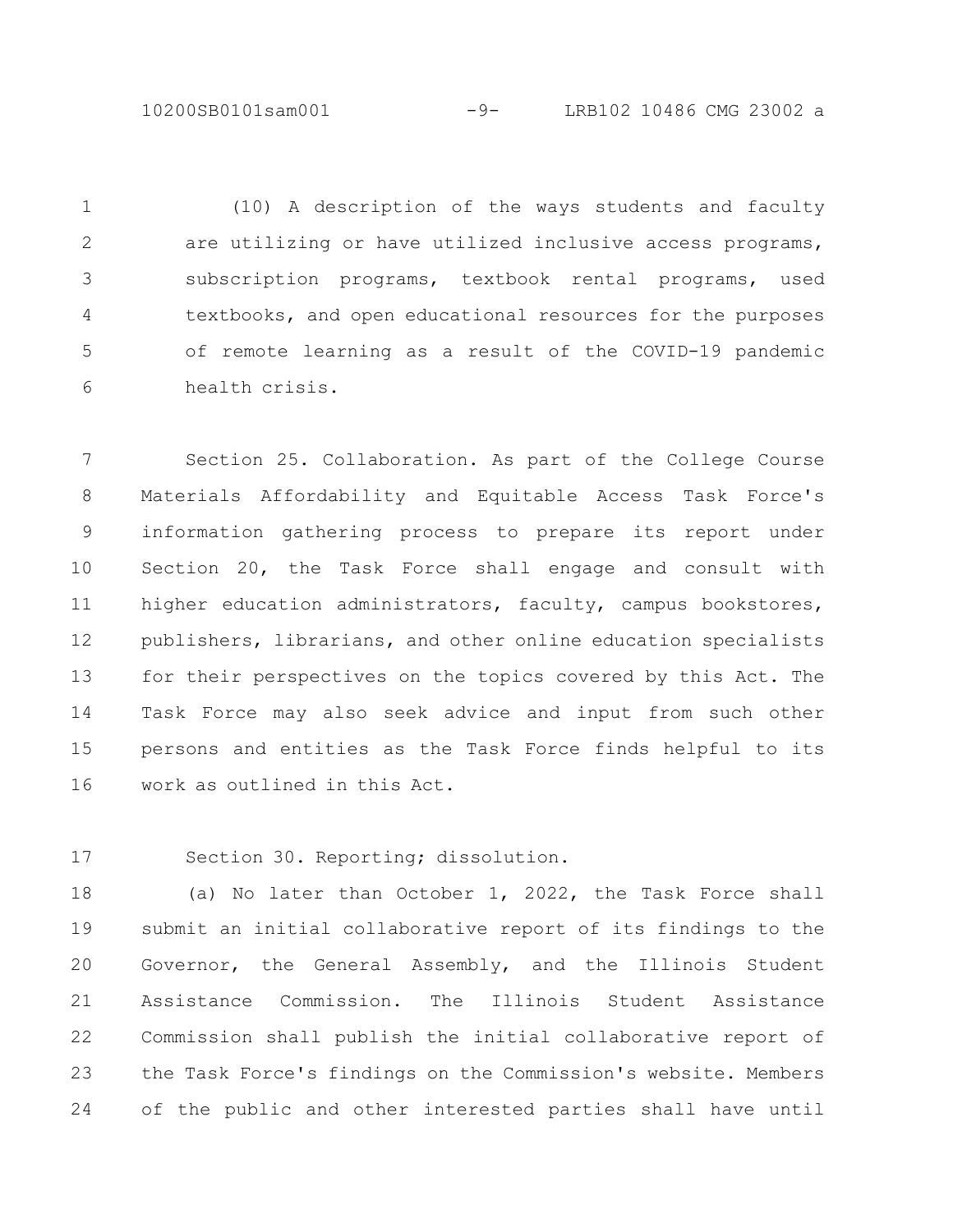10200SB0101sam001 -9- LRB102 10486 CMG 23002 a

(10) A description of the ways students and faculty are utilizing or have utilized inclusive access programs, subscription programs, textbook rental programs, used textbooks, and open educational resources for the purposes of remote learning as a result of the COVID-19 pandemic health crisis. 1 2 3 4 5 6

Section 25. Collaboration. As part of the College Course Materials Affordability and Equitable Access Task Force's information gathering process to prepare its report under Section 20, the Task Force shall engage and consult with higher education administrators, faculty, campus bookstores, publishers, librarians, and other online education specialists for their perspectives on the topics covered by this Act. The Task Force may also seek advice and input from such other persons and entities as the Task Force finds helpful to its work as outlined in this Act. 7 8 9 10 11 12 13 14 15 16

Section 30. Reporting; dissolution. 17

(a) No later than October 1, 2022, the Task Force shall submit an initial collaborative report of its findings to the Governor, the General Assembly, and the Illinois Student Assistance Commission. The Illinois Student Assistance Commission shall publish the initial collaborative report of the Task Force's findings on the Commission's website. Members of the public and other interested parties shall have until 18 19 20 21 22 23 24